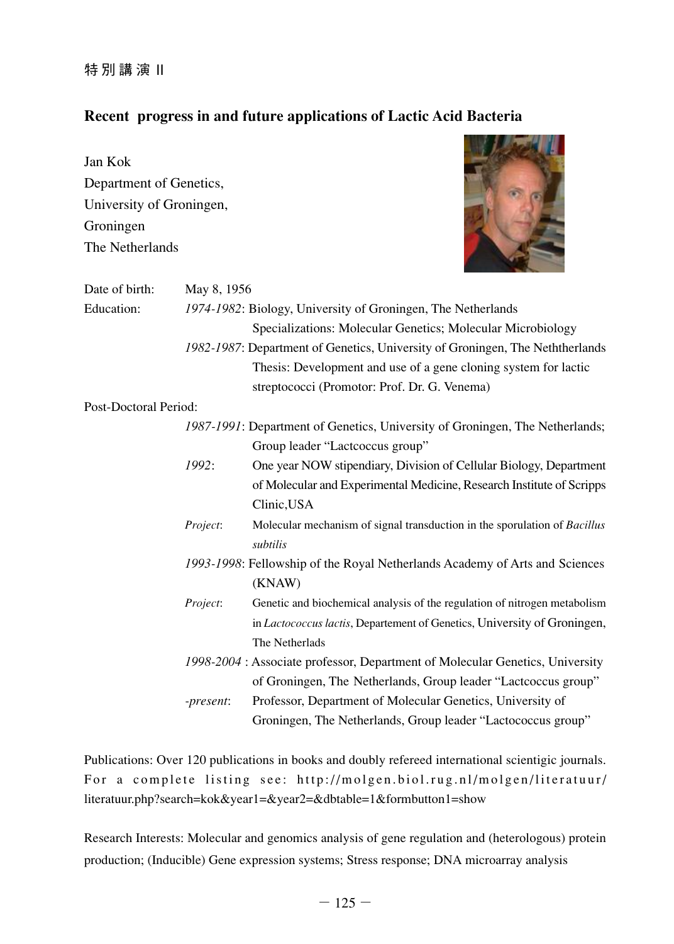特 別 講 演 II

## **Recent progress in and future applications of Lactic Acid Bacteria**

**ENDER A MARKET BY A** 

| Jan Kok<br>Department of Genetics, |             |                                                                                       |  |
|------------------------------------|-------------|---------------------------------------------------------------------------------------|--|
| University of Groningen,           |             |                                                                                       |  |
| Groningen                          |             |                                                                                       |  |
| The Netherlands                    |             |                                                                                       |  |
| Date of birth:                     | May 8, 1956 |                                                                                       |  |
| <b>Education:</b>                  |             | 1974-1982: Biology, University of Groningen, The Netherlands                          |  |
|                                    |             | Specializations: Molecular Genetics; Molecular Microbiology                           |  |
|                                    |             | 1982-1987: Department of Genetics, University of Groningen, The Neththerlands         |  |
|                                    |             | Thesis: Development and use of a gene cloning system for lactic                       |  |
|                                    |             | streptococci (Promotor: Prof. Dr. G. Venema)                                          |  |
| Post-Doctoral Period:              |             |                                                                                       |  |
|                                    |             | 1987-1991: Department of Genetics, University of Groningen, The Netherlands;          |  |
|                                    |             | Group leader "Lactcoccus group"                                                       |  |
|                                    | 1992:       | One year NOW stipendiary, Division of Cellular Biology, Department                    |  |
|                                    |             | of Molecular and Experimental Medicine, Research Institute of Scripps<br>Clinic, USA  |  |
|                                    | Project:    | Molecular mechanism of signal transduction in the sporulation of Bacillus<br>subtilis |  |
|                                    |             | 1993-1998: Fellowship of the Royal Netherlands Academy of Arts and Sciences           |  |
|                                    |             | (KNAW)                                                                                |  |
|                                    | Project:    | Genetic and biochemical analysis of the regulation of nitrogen metabolism             |  |
|                                    |             | in Lactococcus lactis, Departement of Genetics, University of Groningen,              |  |
|                                    |             | The Netherlads                                                                        |  |
|                                    |             | 1998-2004 : Associate professor, Department of Molecular Genetics, University         |  |
|                                    |             | of Groningen, The Netherlands, Group leader "Lactcoccus group"                        |  |
|                                    | -present:   | Professor, Department of Molecular Genetics, University of                            |  |
|                                    |             | Groningen, The Netherlands, Group leader "Lactococcus group"                          |  |

Publications: Over 120 publications in books and doubly refereed international scientigic journals. For a complete listing see: http://molgen.biol.rug.nl/molgen/literatuur/ literatuur.php?search=kok&year1=&year2=&dbtable=1&formbutton1=show

Research Interests: Molecular and genomics analysis of gene regulation and (heterologous) protein production; (Inducible) Gene expression systems; Stress response; DNA microarray analysis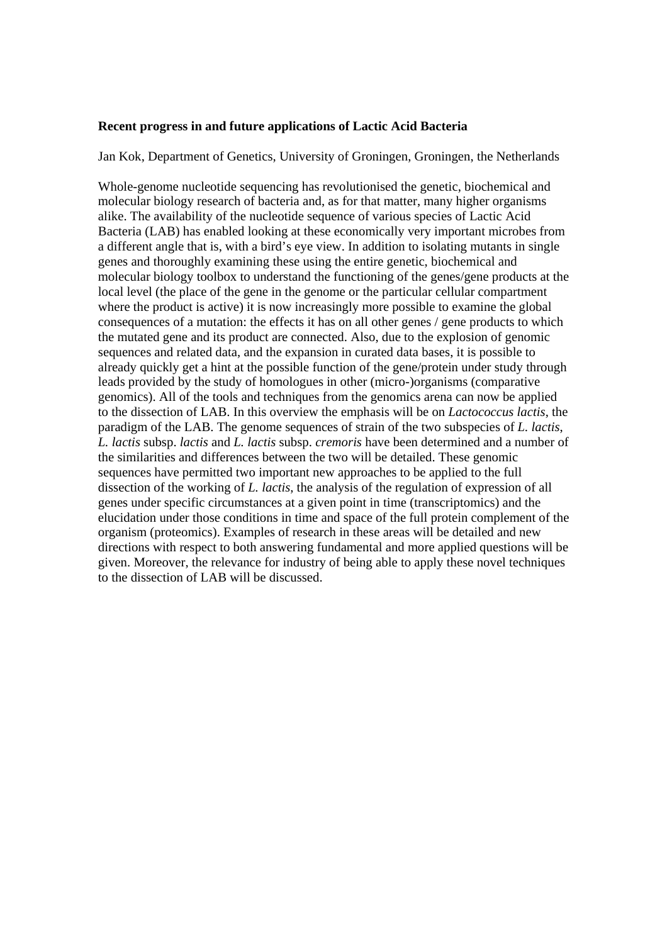## **Recent progress in and future applications of Lactic Acid Bacteria**

Jan Kok, Department of Genetics, University of Groningen, Groningen, the Netherlands

Whole-genome nucleotide sequencing has revolutionised the genetic, biochemical and molecular biology research of bacteria and, as for that matter, many higher organisms alike. The availability of the nucleotide sequence of various species of Lactic Acid Bacteria (LAB) has enabled looking at these economically very important microbes from a different angle that is, with a bird's eye view. In addition to isolating mutants in single genes and thoroughly examining these using the entire genetic, biochemical and molecular biology toolbox to understand the functioning of the genes/gene products at the local level (the place of the gene in the genome or the particular cellular compartment where the product is active) it is now increasingly more possible to examine the global consequences of a mutation: the effects it has on all other genes / gene products to which the mutated gene and its product are connected. Also, due to the explosion of genomic sequences and related data, and the expansion in curated data bases, it is possible to already quickly get a hint at the possible function of the gene/protein under study through leads provided by the study of homologues in other (micro-)organisms (comparative genomics). All of the tools and techniques from the genomics arena can now be applied to the dissection of LAB. In this overview the emphasis will be on *Lactococcus lactis*, the paradigm of the LAB. The genome sequences of strain of the two subspecies of *L. lactis*, *L. lactis* subsp. *lactis* and *L. lactis* subsp. *cremoris* have been determined and a number of the similarities and differences between the two will be detailed. These genomic sequences have permitted two important new approaches to be applied to the full dissection of the working of *L. lactis*, the analysis of the regulation of expression of all genes under specific circumstances at a given point in time (transcriptomics) and the elucidation under those conditions in time and space of the full protein complement of the organism (proteomics). Examples of research in these areas will be detailed and new directions with respect to both answering fundamental and more applied questions will be given. Moreover, the relevance for industry of being able to apply these novel techniques to the dissection of LAB will be discussed.